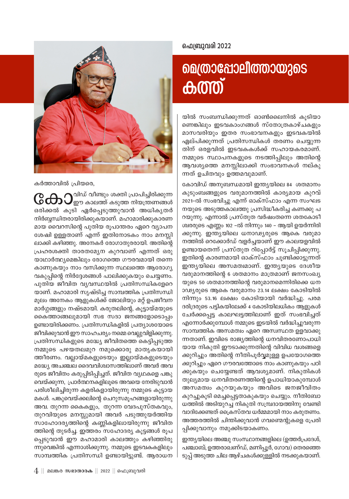

കർത്താവിൽ പ്രിയരെ,

 $\mathbb{G}\mathbf{\Theta}$ ാ $\mathbb{Q}$ ചിഡ് വീണ്ടും ശക്തി പ്രാപിച്ചിരിക്കുന്ന ഒരിക്കൽ കൂടി ഏർപ്പെടുത്തുവാൻ അധികൃതർ നിർബൃന്ധിതരായിരിക്കുകയാണ്. മഹാമാരിക്കുകാരണ മായ വൈറസിന്റെ പുതിയ രൂപാന്തരം ഏറെ വ്യാപന ശേഷി ഉള്ളതാണ് എന്ന് ഇതിനോടകം നാം മനസ്സി ലാക്കി കഴിഞ്ഞു. അനേകർ രോഗാതുരരായി. അതിന്റെ പ്രഹരശക്തി താരതമ്യേന കുറവാണ് എന്നത് ഒരു യാഥാർത്ഥ്യമെങ്കിലും രോഗത്തെ ഗൗരവമായി തന്നെ കാണുകയും നാം വസിക്കുന്ന സ്ഥലത്തെ ആരോഗ്യ വകുപ്പിന്റെ നിർദ്ദേശങ്ങൾ പാലിക്കുകയും ചെയ്യണം. പുതിയ ജീവിത വ്യവസ്ഥയിൽ പ്രതിസന്ധികളേറെ യാണ്. മഹാമാരി സൃഷ്ടിച്ച സാമ്പത്തിക പ്രതിസന്ധി മൂലം അനേകം ആളുകൾക്ക് ജോലിയും മറ്റ് ഉപജീവന മാർഗ്ഗങ്ങളും നഷ്ടമായി. കരുതലിന്റെ, കൂട്ടായ്മയുടെ കൈത്താങ്ങലുമായി സഭ സദാ ജനങ്ങളോടൊപ്പം ഉണ്ടായിരിക്കണം. പ്രതിസന്ധികളിൽ പ്രത്യാശയോടെ ജീവിക്കുവാൻ ഈ സാഹചര്യം നമ്മെ വെല്ലുവിളിക്കുന്നു. പ്രതിസന്ധികളുടെ മദ്ധ്യേ ജീവിതത്തെ കെട്ടിപ്പടുത്ത നമ്മുടെ പഴയതലമുറ നമുക്കൊരു മാതൃകയായി ത്തീരണം. വല്ലായ്മകളുടെയും ഇല്ലായ്മകളുടെയും മദ്ധ്യേ അചഞ്ചല ദൈവവിശ്വാസത്തിലാണ് അവർ അവ രുടെ ജീവിതം കരുപ്പിടിപ്പിച്ചത്. ജീവിത വ്യഥകളെ പങ്കു വെയ്ക്കുന്ന, പ്രാർത്ഥനകളിലൂടെ അവയെ നേരിടുവാൻ പരിശീലിച്ചിരുന്ന കളരികളായിരുന്നു നമ്മുടെ കൂട്ടായ മകൾ. പങ്കുവെയ്ക്കലിന്റെ ചെറുസമൂഹങ്ങളായിരുന്നു അവ. തുറന്ന കൈകളും, തുറന്ന വേദപുസ്തകവും, തുറവിയുടെ മനസ്സുമായി അവർ പടുത്തുയർത്തിയ സാഹോദര്യത്തിന്റെ കണ്ണികളിലായിരുന്നു ജീവിത ത്തിന്റെ തുടർച്ച. ഇത്തരം സഹോദര്യ കൂട്ടങ്ങൾ രൂപ പ്പെടുവാൻ ഈ മഹാമാരി കാലത്തും കഴിഞ്ഞിരു ന്നുവെങ്കിൽ എന്നാശിക്കുന്നു. നമ്മുടെ ഇടവകകളിലും സാമ്പത്തിക പ്രതിസന്ധി ഉണ്ടായിട്ടുണ്ട്. ആരാധന

## ഫെബ്രുവരി 2022

## **മെത്രാപ്പോലീത്തായുടെ** കത്ത്

യിൽ സംബന്ധിക്കുന്നത് ഓൺലൈനിൽ കൂടിയാ ണെങ്കിലും ഇടവകാംഗങ്ങൾ സ്തോത്രകാഴ്ചകളും മാസവരിയും ഇതര സംഭാവനകളും ഇടവകയിൽ ഏല്പിക്കുന്നത് പ്രതിസന്ധികൾ തരണം ചെയ്യുന്ന തിന് ഒരളവിൽ ഇടവകകൾക്ക് സഹായകരമാണ്. നമ്മുടെ സ്ഥാപനകളുടെ നടത്തിപ്പിലും അതിന്റെ ആവശ്യത്തെ മനസ്സിലാക്കി സംഭാവനകൾ നല്കു ന്നത് ഉചിതവും ഉത്തമവുമാണ്.

കോവിഡ് അനുബന്ധമായി ഇന്ത്യയിലെ 84 ശതമാനം കുടുംബങ്ങളുടെ വരുമാനത്തിൽ കാര്യമായ കുറവ് 2021-ൽ സംഭവിച്ചു എന്ന് ഓക്സ്ഫാം എന്ന സംഘട നയുടെ അടുത്തകാലത്തു പ്രസിദ്ധീകരിച്ച കണക്കു പ റയുന്നു. എന്നാൽ പ്രസ്തുത വർഷംതന്നെ ശതകോടീ ശ്വരരുടെ എണ്ണം 102 –ൽ നിന്നും 140 – ആയി ഉയർന്നിരി ക്കുന്നു. ഇന്ത്യയിലെ ധനാഢ്യരുടെ ആകെ വരുമാ നത്തിൽ റെക്കോർഡ് വളർച്ചയാണ് ഈ കാലയളവിൽ ഉണ്ടായതെന്ന് പ്രസ്തുത റിപ്പോർട്ട് സൂചിപ്പിക്കുന്നു. ഇതിന്റെ കാരണമായി ഓക്സ്ഫാം ചൂണ്ടിക്കാട്ടുന്നത് ഇന്ത്യയിലെ അസമത്വമാണ്. ഇന്ത്യയുടെ ദേശീയ വരുമാനത്തിന്റെ 6 ശതമാനം മാത്രമാണ് ജനസംഖ്യ യുടെ 50 ശതമാനത്തിന്റെ വരുമാനമെന്നിരിക്കെ ധന ാഢ്യരുടെ ആകെ വരുമാനം 23.14 ലക്ഷം കോടിയിൽ നിന്നും 53.16 ലക്ഷം കോടിയായി വർദ്ധിച്ചു. പരമ ദരിദ്രരുടെ പട്ടികയിലേക്ക് 4 കോടിയിലധികം ആളുകൾ ചേർക്കപ്പെട്ട കാലഘട്ടത്തിലാണ് ഇത് സംഭവിച്ചത് എന്നോർക്കുമ്പോൾ നമ്മുടെ ഇടയിൽ വർദ്ധിച്ചുവരുന്ന സാമ്പത്തിക അസമത്വം ഏറെ അസ്വസ്ഥത ഉളവാക്കു ന്നതാണ്. ഇവിടെ രാജ്യത്തിന്റെ ധനവിതരണോപാധി യായ നികുതി ഈടാക്കുന്നതിന്റെ വിവിധ വശങ്ങളെ ക്കുറിച്ചും അതിന്റെ നീതിപൂർവ്വമുള്ള ഉപയോഗത്തെ ക്കുറിച്ചും ഏറെ ഗൗരവത്തോടെ നാം കാണുകയും പഠി ക്കുകയും ചെയ്യേണ്ടത് ആവശ്യമാണ്. നികുതികൾ തുല്യമായ ധനവിതരണത്തിന്റെ ഉപാധിയാകുമ്പോൾ അസമത്വം കുറയുകയും അവിടെ ജനജീവിതം കുറച്ചുകൂടി മെച്ചപ്പെട്ടതാകുകയും ചെയ്യും. നീതിബോ ധത്തിൽ അടിയുറച്ച നികുതി സമ്പ്രദായത്തിനു വേണ്ടി വാദിക്കേണ്ടത് ക്രൈസ്തവ ധർമ്മമായി നാം കരുതണം. അത്തരത്തിൽ ചിന്തിക്കുവാൻ ഗവണ്മെന്റുകളെ പ്രേരി പ്പിക്കുവാനും നമുക്കിടയാകണം.

ഇന്ത്യയിലെ അഞ്ചു സംസ്ഥാനങ്ങളിലെ (ഉത്തർപ്രദേശ്, പഞ്ചാബ്, ഉത്തരാഖണ്ഡ്, മണിപ്പൂർ, ഗോവ) തെരഞ്ഞെ ടുപ്പ് അടുത്ത ചില ആഴ്ചകൾക്കുള്ളിൽ നടക്കുകയാണ്.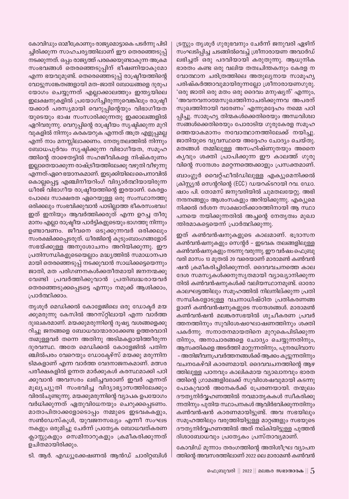ട്രസ്റ്റും തൃശൂർ ഗുരുഭവനും ചേർന്ന് ജനുവരി ഏഴിന് സംഘടിപ്പിച്ച ചടങ്ങിൽവെച്ച് ശ്രീനാരായണ അവാർഡ് ലഭിച്ചത് ഒരു പദവിയായി കരുതുന്നു. ആധുനിക ഭാരതം കണ്ട ഒരു വലിയ തത്വചിന്തകനും കേരള ന വോത്ഥാന ചരിത്രത്തിലെ അതുലൃനായ സാമൂഹൃ പരിഷ്കർത്താവുമായിരുന്നല്ലോ ശ്രീനാരായണഗുരു. 'ഒരു ജാതി ഒരു മതം ഒരു ദൈവം മനുഷ്യന്' എന്നും, 'അവനവനാത്മസുഖത്തിനാചരിക്കുന്നവ അപരന് സുഖത്തിനായി വരേണം' എന്നുമദ്ദേഹം നമ്മെ പഠി പ്പിച്ചു. സാമൂഹ്യ തിന്മകൾക്കെതിരെയും അന്ധവിശ്വാ സങ്ങൾക്കെതിരെയും പോരാടിയ ഗുരുകേരള സമൂഹ ത്തെയാകമാനം നവോത്ഥാനത്തിലേക്ക് നയിച്ചു. ജാതിയുടെ വൃവസ്ഥയെ അദ്ദേഹം ചോദ്യം ചെയ്തു. മതങ്ങൾ തമ്മിലുള്ള അസഹിഷ്ണുതയും അനൈ കൃവും ശക്തി പ്രാപിക്കുന്ന ഈ കാലത്ത് ഗുരു വിന്റെ സന്ദേശം മറ്റെന്നത്തെക്കാളും പ്രസക്തമാണ്.

ബാംഗ്ലൂർ വൈറ്റ്ഫീൽഡിലുള്ള എക്യൂമെനിക്കൽ ക്രിസ്റ്റ്യൻ സെന്ററിന്റെ (ECC) ഡയറക്ടറായി റവ. ഡോ. ഷാം പി. തോമസ് ജനുവരിയിൽ ചുമതലയേറ്റു. അഭി നന്ദനങ്ങളും ആശംസകളും അറിയിക്കുന്നു. എക്യൂമെ നിക്കൽ ദർശന സാക്ഷാത്ക്കാരത്തിനായി ആ സ്ഥാ പനയെ നയിക്കുന്നതിൽ അച്ചന്റെ നേതൃത്വം മുഖാ ന്തിരമാകട്ടെയെന്ന് പ്രാർത്ഥിക്കുന്നു.

ഇത് കൺവൻഷനുകളുടെ കാലമാണ്. ഭദ്രാസന കൺവൻഷനുകളും സെന്റർ – ഇടവക തലങ്ങളിലുള്ള കൺവൻഷനുകളും നടന്നു വരുന്നു. ഈ വർഷം ഫെബ്രു വരി മാസം 13 മുതൽ 20 വരെയാണ് മാരാമൺ കൺവൻ ഷൻ ക്രമീകരിച്ചിരിക്കുന്നത്. ദൈവവചനത്തെ കാല ദേശ സമസ്യകൾക്കനുസൃതമായി വ്യാഖ്യാനിക്കുന്ന തിൽ കൺവൻഷനുകൾക്ക് വലിയസ്ഥാനമൂണ്ട്. ഓരോ കാലഘട്ടത്തിലും സമൂഹത്തിൽ നിലനില്ക്കുന്ന പ്രതി സന്ധികളോടുള്ള വചനാധിഷ്ഠിത പ്രതികരണങ്ങ ളാണ് കൺവൻഷനുകളുടെ സന്ദേശങ്ങൾ. മാരാമൺ കൺവൻഷൻ മലങ്കരസഭയിൽ ശുചീകരണ പ്രവർ ത്തനത്തിനും സുവിശേഷഘോഷണത്തിനും ശക്തി പകർന്നു. സനാതനമായതിനെ മുറുകെപിടിക്കുന്ന തിനും, അനാചാരങ്ങളെ ചോദ്യം ചെയ്യുന്നതിനും, ആസക്തികളെ അടർത്തി മാറ്റുന്നതിനും, പുനരധിവാസ – അതിജീവനപ്രവർത്തനങ്ങൾക്ക് ആക്കം കൂട്ടുന്നതിനും വചനകേഴ്വി കാരണമായി. ദൈവവചനത്തിന്റെ ആഴ ത്തിലുള്ള പഠനവും കാലികമായ വ്യാഖാനവും ഭാരത ത്തിന്റെ ഗ്രാമങ്ങളിലേക്ക് സുവിശേഷവുമായി കടന്നു പോകുവാൻ അനേകർക്ക് പ്രേരണയായി. തന്മൂലം ദൗത്യനിർവ്വഹണത്തിൽ നവമാതൃകകൾ സ്വീകരിക്കു ന്നതിനും പുതിയ സ്ഥാപനകൾ ആവിർഭവിക്കുന്നതിനും കൺവൻഷൻ കാരണമായിട്ടുണ്ട്. അവ സഭയിലും സമൂഹത്തിലും വരുത്തിയിട്ടുള്ള മാറ്റങ്ങളും സഭയുടെ ദൗതൃനിർവ്വഹണത്തിൽ അത് നല്കിയിട്ടുള്ള പുത്തൻ ദിശാബോധവും പ്രത്യേകം പ്രസ്താവ്യമാണ്.

കോവിഡ് മൂന്നാം തരംഗത്തിന്റെ അതിശീഘ്ര വ്യാപന ത്തിന്റെ അവസരത്തിലാണ് 2022 ലെ മാരാമൺ കൺവൻ

ച്ചിരിക്കുന്ന സാഹചര്യത്തിലാണ് ഈ തെരഞ്ഞെടുപ്പ് നടക്കുന്നത്. ഒപ്പം രാജ്യത്ത് പരക്കെയുണ്ടാകുന്ന അക്രമ സംഭവങ്ങൾ തെരഞ്ഞെടുപ്പിന് ഭീഷണിയാകുമോ എന്ന ഭയവുമുണ്ട്. തെരെഞ്ഞെടുപ്പ് രാഷ്ട്രീയത്തിന്റെ വോട്ടുസങ്കേതങ്ങളായി മത-ജാതി ബോധങ്ങളെ ദുരുപ യോഗം ചെയ്യുന്നത് എല്ലാക്കാലത്തും ഇന്ത്യയിലെ ഇലക്ഷനുകളിൽ പ്രയോഗിച്ചിരുന്നുവെങ്കിലും രാഷ്ട്രീ യക്കാർ പരസ്യമായി വെറുപ്പിന്റെയും വിഭാഗീയത യുടെയും ഭാഷ സംസാരിക്കുന്നതു ഇക്കാലങ്ങളിൽ ഏറിവരുന്നു. വെറുപ്പിന്റെ രാഷ്ട്രീയം സൃഷ്ടിക്കുന്ന മുറി വുകളിൽ നിന്നും കരകയറുക എന്നത് അത്ര എളുപ്പമല്ല എന്ന് നാം മനസ്സിലാക്കണം. നേതൃതലത്തിൽ നിന്നും ബോധപൂർവം സൃഷ്ടിക്കുന്ന വിഭാഗീയത, സമൂഹ ത്തിന്റെ താഴെതട്ടിൽ സഹജീവികളെ നിഷ്കരുണം ഇല്ലാതെയാക്കുന്ന രാഷ്ട്രീയത്തിലേക്കു വഴുതി വീഴുന്നു എന്നത് ഏറെ ഭയാനകമാണ്. ഇടുക്കിയിലെ പൈനാവിൽ കൊല്ലപ്പെട്ട എഞ്ചിനീയറിംഗ് വിദ്യാർത്ഥിയായിരുന്ന ധീരജ് വിഭാഗീയ രാഷ്ട്രീയത്തിന്റെ ഇരയാണ്. കേരളം പോലെ സാക്ഷരത ഏറെയുള്ള ഒരു സംസ്ഥാനത്തു ഒരിക്കലും സംഭവിക്കുവാൻ പാടില്ലാത്ത ഭീകരസംഭവം! ഇത് ഇനിയും ആവർത്തിക്കരുത് എന്ന ഉറച്ച തീരു മാനം എല്ലാ രാഷ്ട്രീയ പാർട്ടികളുടെയും ഭാഗത്തു നിന്നും ഉണ്ടാവണം. ജീവനെ ഒടുക്കുന്നവർ ഒരിക്കലും സംരക്ഷിക്കപ്പെടരുത്. ധീരജിന്റെ കുടുംബാംഗങ്ങളോട് സഭയ്ക്കുള്ള അനുശോചനം അറിയിക്കുന്നു. ഈ പ്രതിസന്ധികളുടെയെല്ലാം മദ്ധ്യത്തിൽ സമാധാനപര മായി തെരഞ്ഞെടുപ്പ് നടക്കുവാൻ സാധിക്കട്ടെയെന്നും ജാതി, മത പരിഗണനകൾക്കതീതമായി ജനനന്മക്കു വേണ്ടി പ്രവർത്തിക്കുവാൻ പ്രതിബദ്ധരായവർ തെരഞ്ഞെടുക്കപ്പെടട്ടെ എന്നും നമുക്ക് ആശിക്കാം, പ്രാർത്ഥിക്കാം.

കോവിഡും ഓമീക്രോണും രാജ്യമൊട്ടാകെ പടർന്നു പിടി

തൃശൂർ മെഡിക്കൽ കോളേജിലെ ഒരു ഡോക്ടർ മയ ക്കുമരുന്നു കേസിൽ അറസ്റ്റിലായി എന്ന വാർത്ത ദുഃഖകരമാണ്. മയക്കുമരുന്നിന്റെ ദൂഷ്യ വശങ്ങളെക്കു റിച്ചു ജനങ്ങളെ ബോധവാന്മാരാക്കേണ്ട ഉത്തരവാദി ത്വമുള്ളവർ തന്നെ അതിനു അടിമകളായിത്തീരുന്ന ദുരവസ്ഥ. അതേ മെഡിക്കൽ കോളേജിൽ പതിന ഞ്ചിൽപരം വേറെയും ഡോക്ടേഴ്സ് മയക്കു മരുന്നിന ടിമകളാണ് എന്ന വാർത്ത വേദനാജനകമാണ്. മത്സര പരീക്ഷകളിൽ ഉന്നത മാർക്കുകൾ കരസ്ഥമാക്കി പഠി ക്കുവാൻ അവസരം ലഭിച്ചവരാണ് ഇവർ എന്നത് മൂല്യച്യുതി സംഭവിച്ച വിദ്യാഭ്യാസത്തിലേക്കും വിരൽചൂണ്ടുന്നു. മയക്കുമരുന്നിന്റെ വ്യാപക ഉപയോഗം വർധിക്കുന്നത് ഏതുവിധേനയും ചെറുക്കപ്പെടണം. മാതാപിതാക്കളോടൊപ്പം നമ്മുടെ ഇടവകകളും, സൺഡേസ്കൂൾ, യുവജനസഖ്യം എന്നീ സംഘട നകളും ഒരുമിച്ചു ചേർന്ന് പ്രത്യേക ബോധവത്കരണ ക്ലാസ്സുകളും സെമിനാറുകളും ക്രമീകരിക്കുന്നത് ഉചിതമായിരിക്കും.

ടി. ആർ. എഡ്യൂക്കേഷണൽ ആൻഡ് ചാരിറ്റബിൾ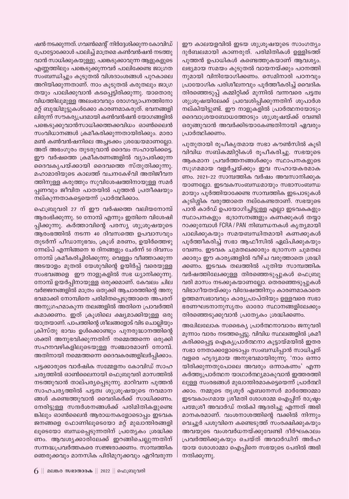ഷൻ നടക്കുന്നത്. ഗവൺമെന്റ് നിർദ്ദേശിക്കുന്ന കോവിഡ് പ്രോട്ടോക്കോൾ പാലിച്ച് മാത്രമെ കൺവൻഷൻ നടത്തു വാൻ സാധിക്കുകയുള്ളു. പങ്കെടുക്കാവുന്ന ആളുകളുടെ എണ്ണത്തിലും പങ്കെടുക്കുന്നവർ പാലിക്കേണ്ട ജാഗ്രത സംബന്ധിച്ചും കൂടുതൽ വിശദാംശങ്ങൾ പുറകാലെ അറിയിക്കുന്നതാണ്. നാം കൂടുതൽ കരുതലും ജാഗ്ര തയും പാലിക്കുവാൻ കടപ്പെട്ടിരിക്കുന്നു. യാതൊരു വിധത്തിലുമുള്ള അലംഭാവവും രോഗവ്യാപനത്തിനോ മറ്റ് ബുദ്ധിമുട്ടുകൾക്കോ കാരണമാകരുത്. ഭവനങ്ങളി ലിരുന്ന് സൗകര്യപ്രദമായി കൺവൻഷൻ യോഗങ്ങളിൽ പങ്കെടുക്കുവാൻസാധിക്കത്തക്കവിധം ഓൺലൈൻ സംവിധാനങ്ങൾ ക്രമീകരിക്കുന്നതായിരിക്കും. മാരാ മൺ കൺവൻഷനിലെ അച്ചടക്കം ശ്രദ്ധേയമാണല്ലോ. അത് അഭംഗുരം തുടരുവാൻ ദൈവം സഹായിക്കട്ടെ. ഈ വർഷത്തെ ക്രമീകരണങ്ങളിൽ വ്യാപരിക്കുന്ന ദൈവകൃപയ്ക്കായി ദൈവത്തെ സ്തുതിക്കുന്നു. മഹാമാരിയുടെ കാലത്ത് വചനകേഴ്വി അതിജീവന ത്തിനുള്ള കരുത്തും സുവിശേഷത്തിനായുള്ള സമർ പ്പണവും ജീവിത പാതയിൽ പുത്തൻ പ്രതീക്ഷയും നല്കുന്നതാകട്ടെയെന്ന് പ്രാർത്ഥിക്കാം.

ഫെബ്രുവരി 27 ന് ഈ വർഷത്തെ വലിയനോമ്പ് ആരംഭിക്കുന്നു. 50 നോമ്പ് എന്നും ഇതിനെ വിശേഷി പ്പിക്കുന്നു. കർത്താവിന്റെ പരസ്യ ശുശ്രൂഷയുടെ ആരംഭത്തിൽ നടന്ന 40 ദിവസത്തെ ഉപവാസവും തുടർന്ന് പീഡാനുഭവം, ക്രൂശ് മരണം, ഉയിർത്തെഴു ന്നേല്പ് എന്നിങ്ങനെ 10 ദിനങ്ങളും ചേർന്ന് 50 ദിവസം നോമ്പ് ക്രമീകരിച്ചിരിക്കുന്നു. വെള്ളം വീഞ്ഞാക്കുന്ന അടയാളം മുതൽ യേശുവിന്റെ ഉയിർപ്പ് വരെയുള്ള സംഭവങ്ങളെ ഈ നാളുകളിൽ സഭ ധ്യാനിക്കുന്നു. നോമ്പ് ഉയർപ്പിനായുള്ള ഒരുക്കമാണ്. കേവലം ചില വർജ്ജനങ്ങളിൽ മാത്രം ഒതുക്കി ആചാരത്തിന്റെ അനു ഭവമാക്കി നോമ്പിനെ പരിമിതപ്പെടുത്താതെ അപരന് അനുഗ്രഹമാകുന്ന തലങ്ങളിൽ അതിനെ പ്രാവർത്തി കമാക്കണം. ഇത് ക്രൂശിലെ ക്ഷ്യമാക്കിയുള്ള ഒരു യാത്രയാണ്. പാപത്തിന്റെ ശീലങ്ങളോട് വിട ചൊല്ലിയും ക്രിസ്തു ഭാവം ഉൾക്കൊണ്ടും പുനരുദ്ധാനത്തിന്റെ ശക്തി അനുഭവിക്കുന്നതിന് നമ്മെത്തന്നെ ഒരുക്കി സഹനവഴികളിലുടെയുള്ള സഞ്ചാരമാണ് നോമ്പ്. അതിനായി നമ്മെത്തന്നെ ദൈവകരങ്ങളിലർപ്പിക്കാം.

പട്ടക്കാരുടെ വാർഷിക സമ്മേളനം കോവിഡ് സാഹ ചര്യത്തിൽ ഓൺലൈനായി ഫെബ്രുവരി മാസത്തിൽ നടത്തുവാൻ താല്പര്യപ്പെടുന്നു. മാറിവന്ന പുത്തൻ സാഹചര്യത്തിൽ പട്ടത്വ ശുശ്രൂഷയുടെ നവമാന ങ്ങൾ കണ്ടെത്തുവാൻ വൈദികർക്ക് സാധിക്കണം. നേരിട്ടുള്ള സന്ദർശനങ്ങൾക്ക് പരിമിതികളുണ്ടെ ങ്കിലും ഓൺലൈൻ ആരാധനകളോടൊപ്പം ഇടവക ജനങ്ങളെ ഫോണിലൂടെയോ മറ്റ് മുഖാന്തിരങ്ങളി ലൂടെയോ ബന്ധപ്പെടുന്നതിന് പ്രത്യേകം ശ്രദ്ധിക്ക ണം. ആവശ്യക്കാരിലേക്ക് ഇറങ്ങിചെല്ലുന്നതിന് സന്നദ്ധപ്രവർത്തകരെ സജ്ജരാക്കണം. സാമ്പത്തിക ഞെരുക്കവും മാനസിക പിരിമുറുക്കവും ഏറിവരുന്ന ഈ കാലയളവിൽ ഇടയ ശുശ്രൂഷയുടെ സാംഗത്യം ദുർബലമായി കാണരുത്. പരിമിതികൾ ഉള്ളിടത്ത് പുത്തൻ ഉപാധികൾ കണ്ടെത്തുകയാണ് ആവശ്യം. ലഭ്യമായ സമയം കുടുതൽ വായനയ്ക്കും പഠനത്തി നുമായി വിനിയോഗിക്കണം. സെമിനാരി പഠനവും പ്രായോഗിക പരിശീലനവും പൂർത്തീകരിച്ച് വൈദിക തിരഞ്ഞെടുപ്പ് കമ്മിറ്റിക്ക് മുന്നിൽ വന്നവരെ പട്ടത്വ ശുശ്രൂഷയിലേക്ക് പ്രവേശിപ്പിക്കുന്നതിന് ശുപാർശ നല്കിയിട്ടുണ്ട്. ഈ നാളുകളിൽ പ്രാർത്ഥനയോടും ദൈവാശ്രയബോധത്തോടും ശുശ്രൂഷയ്ക്ക് വേണ്ടി ഒരുങ്ങുവാൻ അവർക്കിടയാകേണ്ടതിനായി ഏവരും പ്രാർത്ഥിക്കണം.

പുതുതായി രൂപീകൃതമായ സഭാ കൗൺസിൽ കൂടി വിവിധ സബ്കമ്മിറ്റികൾ രൂപീകരിച്ചു. സഭയുടെ ആകമാന പ്രവർത്തനങ്ങൾക്കും സ്ഥാപനകളുടെ സുഗമമായ വളർച്ചയ്ക്കും ഇവ സഹായകരമാക ണം. 2021-22 സാമ്പത്തിക വർഷം അവസാനിക്കുക യാണല്ലോ. ഇടവകസംബന്ധമായും സഭാസംബന്ധ മായും പൂർത്തിയാക്കേണ്ട സാമ്പത്തിക ഇടപാടുകൾ കുടിശ്ശിക വരുത്താതെ നല്കേണ്ടതാണ്. സഭയുടെ പാൻ കാർഡ് ഉപയോഗിച്ചിട്ടുള്ള എല്ലാ ഇടവകകളും സ്ഥാപനകളും ഭദ്രാസനങ്ങളും കണക്കുകൾ തയ്യാ റാക്കുമ്പോൾ FCRA / PAN നിബന്ധനകൾ കൃത്യമായി പാലിക്കുകയും സമയബന്ധിതമായി കണക്കുകൾ പൂർത്തീകരിച്ച് സഭാ ആഫീസിൽ ഏല്പിക്കുകയും വേണം. ഇടവക ചുമതലക്കാരും ഭദ്രാസന ചുമതല ക്കാരും ഈ കാരൃങ്ങളിൽ വീഴ്ച വരുത്താതെ ശ്രദ്ധി ക്കണം. ഇടവക തലത്തിൽ പുതിയ സാമ്പത്തിക വർഷത്തിലേക്കുള്ള തിരഞ്ഞെടുപ്പുകൾ ഫെബ്രു വരി മാസം നടക്കുകയാണല്ലോ. തെരഞ്ഞെടുപ്പുകൾ വിഭാഗീയതയ്ക്കും വിദ്വേഷത്തിനും കാരണമാകാതെ ഉത്തമസ്വഭാവവും കാര്യപ്രാപ്തിയും ഉള്ളവരെ സഭാ ഭരണഘടനാനുസൃതം ഓരോ സ്ഥാനങ്ങളിലേക്കും തിരഞ്ഞെടുക്കുവാൻ പ്രത്യേകം ശ്രദ്ധിക്കണം.

അഖിലലോക സഭൈകൃ പ്രാർത്ഥനാവാരം ജനുവരി മൂന്നാം വാരം നടത്തപ്പെട്ടു. വിവിധ സ്ഥലങ്ങളിൽ ക്രമീ കരിക്കപ്പെട്ട ഐക്യപ്രാർത്ഥനാ കൂട്ടായ്മയിൽ ഇതര സഭാ നേതാക്കളോടൊപ്പം സംബന്ധിപ്പാൻ സാധിച്ചത് വളരെ ഹൃദ്യമായ അനുഭവമായിരുന്നു. 'നാം ഒന്നാ യിരിക്കുന്നതുപോലെ അവരും ഒന്നാകണം' എന്ന കർത്തൃപ്രാർത്ഥന യാഥാർത്ഥ്യമാകുവാൻ ഇത്തരത്തി ലുള്ള സംരഭങ്ങൾ മുഖാന്തിരമാകട്ടെയെന്ന് പ്രാർത്ഥി ക്കാം. നമ്മുടെ തൃശൂർ എബനേസർ മാർത്തോമ്മാ ഇടവകാംഗമായ ശ്രീമതി ശോശാമ്മ ഐപ്പിന് രാഷ്ട്രം പത്മശ്രീ അവാർഡ് നൽകി ആദരിച്ചു എന്നത് അഭി മാനകരമാണ്. വംശനാശത്തിന്റെ വക്കിൽ നിന്നും വെച്ചൂർ പശുവിനെ കണ്ടെടുത്ത് സംരക്ഷിക്കുകയും അവയുടെ വംശവർധനയ്ക്കുവേണ്ടി ദീർഘകാലം പ്രവർത്തിക്കുകയും ചെയ്ത് അവാർഡിന് അർഹ യായ ശോശാമ്മാ ഐപ്പിനെ സഭയുടെ പേരിൽ അഭി നന്ദിക്കുന്നു.